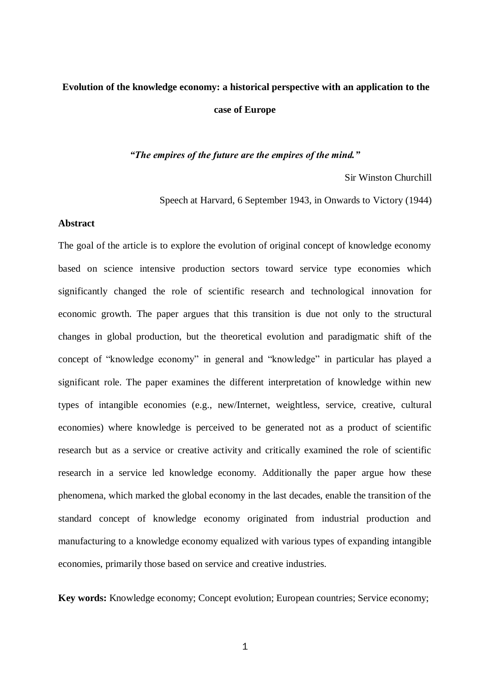# **Evolution of the knowledge economy: a historical perspective with an application to the case of Europe**

# *"The empires of the future are the empires of the mind."*

Sir Winston Churchill

Speech at Harvard, 6 September 1943, in Onwards to Victory (1944)

#### **Abstract**

The goal of the article is to explore the evolution of original concept of knowledge economy based on science intensive production sectors toward service type economies which significantly changed the role of scientific research and technological innovation for economic growth. The paper argues that this transition is due not only to the structural changes in global production, but the theoretical evolution and paradigmatic shift of the concept of "knowledge economy" in general and "knowledge" in particular has played a significant role. The paper examines the different interpretation of knowledge within new types of intangible economies (e.g., new/Internet, weightless, service, creative, cultural economies) where knowledge is perceived to be generated not as a product of scientific research but as a service or creative activity and critically examined the role of scientific research in a service led knowledge economy. Additionally the paper argue how these phenomena, which marked the global economy in the last decades, enable the transition of the standard concept of knowledge economy originated from industrial production and manufacturing to a knowledge economy equalized with various types of expanding intangible economies, primarily those based on service and creative industries.

**Key words:** Knowledge economy; Concept evolution; European countries; Service economy;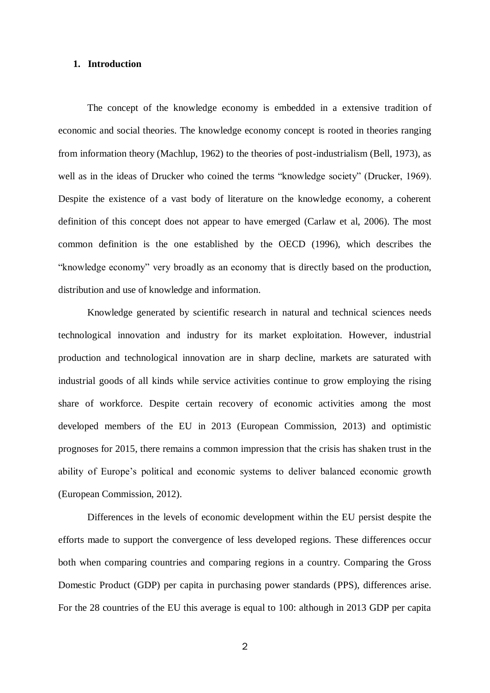# **1. Introduction**

The concept of the knowledge economy is embedded in a extensive tradition of economic and social theories. The knowledge economy concept is rooted in theories ranging from information theory (Machlup, 1962) to the theories of post-industrialism (Bell, 1973), as well as in the ideas of Drucker who coined the terms "knowledge society" (Drucker, 1969). Despite the existence of a vast body of literature on the knowledge economy, a coherent definition of this concept does not appear to have emerged (Carlaw et al, 2006). The most common definition is the one established by the OECD (1996), which describes the "knowledge economy" very broadly as an economy that is directly based on the production, distribution and use of knowledge and information.

Knowledge generated by scientific research in natural and technical sciences needs technological innovation and industry for its market exploitation. However, industrial production and technological innovation are in sharp decline, markets are saturated with industrial goods of all kinds while service activities continue to grow employing the rising share of workforce. Despite certain recovery of economic activities among the most developed members of the EU in 2013 (European Commission, 2013) and optimistic prognoses for 2015, there remains a common impression that the crisis has shaken trust in the ability of Europe's political and economic systems to deliver balanced economic growth (European Commission, 2012).

Differences in the levels of economic development within the EU persist despite the efforts made to support the convergence of less developed regions. These differences occur both when comparing countries and comparing regions in a country. Comparing the Gross Domestic Product (GDP) per capita in purchasing power standards (PPS), differences arise. For the 28 countries of the EU this average is equal to 100: although in 2013 GDP per capita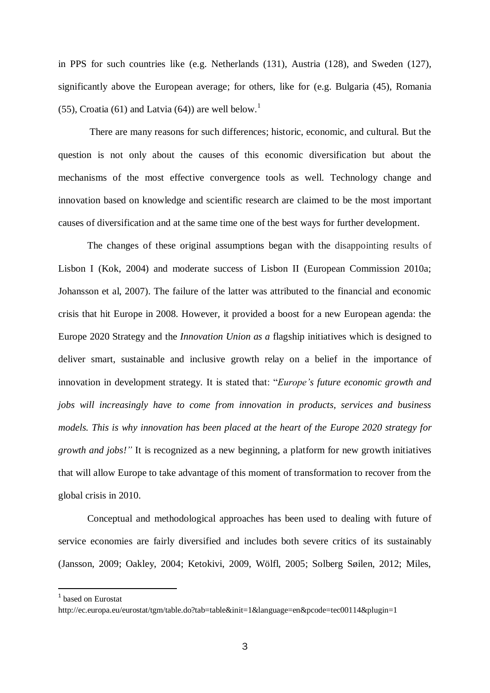in PPS for such countries like (e.g. Netherlands (131), Austria (128), and Sweden (127), significantly above the European average; for others, like for (e.g. Bulgaria (45), Romania (55), Croatia (61) and Latvia (64)) are well below.<sup>1</sup>

 There are many reasons for such differences; historic, economic, and cultural. But the question is not only about the causes of this economic diversification but about the mechanisms of the most effective convergence tools as well. Technology change and innovation based on knowledge and scientific research are claimed to be the most important causes of diversification and at the same time one of the best ways for further development.

The changes of these original assumptions began with the disappointing results of Lisbon I (Kok, 2004) and moderate success of Lisbon II (European Commission 2010a; Johansson et al, 2007). The failure of the latter was attributed to the financial and economic crisis that hit Europe in 2008. However, it provided a boost for a new European agenda: the Europe 2020 Strategy and the *Innovation Union as a* flagship initiatives which is designed to deliver smart, sustainable and inclusive growth relay on a belief in the importance of innovation in development strategy. It is stated that: "*Europe's future economic growth and jobs will increasingly have to come from innovation in products, services and business models. This is why innovation has been placed at the heart of the [Europe 2020 strategy f](http://ec.europa.eu/europe2020/index_en.htm)or growth and jobs!"* It is recognized as a new beginning, a platform for new growth initiatives that will allow Europe to take advantage of this moment of transformation to recover from the global crisis in 2010.

Conceptual and methodological approaches has been used to dealing with future of service economies are fairly diversified and includes both severe critics of its sustainably (Jansson, 2009; Oakley, 2004; Ketokivi, 2009, Wölfl, 2005; Solberg Søilen, 2012; Miles,

**.** 

<sup>1</sup> based on Eurostat

<http://ec.europa.eu/eurostat/tgm/table.do?tab=table&init=1&language=en&pcode=tec00114&plugin=1>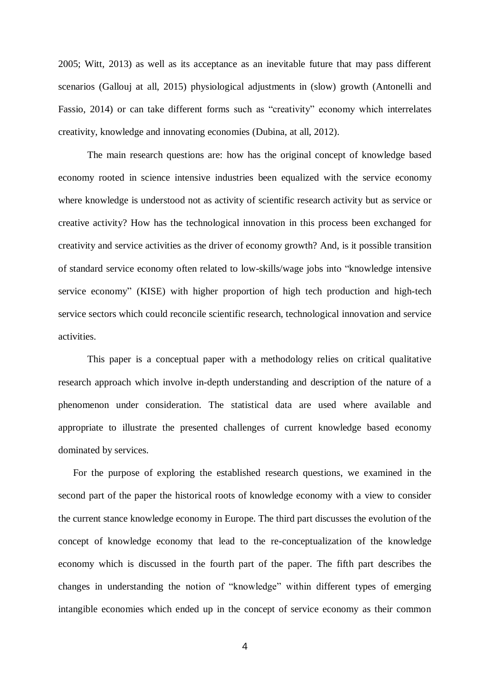2005; Witt, 2013) as well as its acceptance as an inevitable future that may pass different scenarios (Gallouj at all, 2015) physiological adjustments in (slow) growth (Antonelli and Fassio, 2014) or can take different forms such as "creativity" economy which interrelates creativity, knowledge and innovating economies (Dubina, at all, 2012).

The main research questions are: how has the original concept of knowledge based economy rooted in science intensive industries been equalized with the service economy where knowledge is understood not as activity of scientific research activity but as service or creative activity? How has the technological innovation in this process been exchanged for creativity and service activities as the driver of economy growth? And, is it possible transition of standard service economy often related to low-skills/wage jobs into "knowledge intensive service economy" (KISE) with higher proportion of high tech production and high-tech service sectors which could reconcile scientific research, technological innovation and service activities.

This paper is a conceptual paper with a methodology relies on critical qualitative research approach which involve in-depth understanding and description of the nature of a phenomenon under consideration. The statistical data are used where available and appropriate to illustrate the presented challenges of current knowledge based economy dominated by services.

For the purpose of exploring the established research questions, we examined in the second part of the paper the historical roots of knowledge economy with a view to consider the current stance knowledge economy in Europe. The third part discusses the evolution of the concept of knowledge economy that lead to the re-conceptualization of the knowledge economy which is discussed in the fourth part of the paper. The fifth part describes the changes in understanding the notion of "knowledge" within different types of emerging intangible economies which ended up in the concept of service economy as their common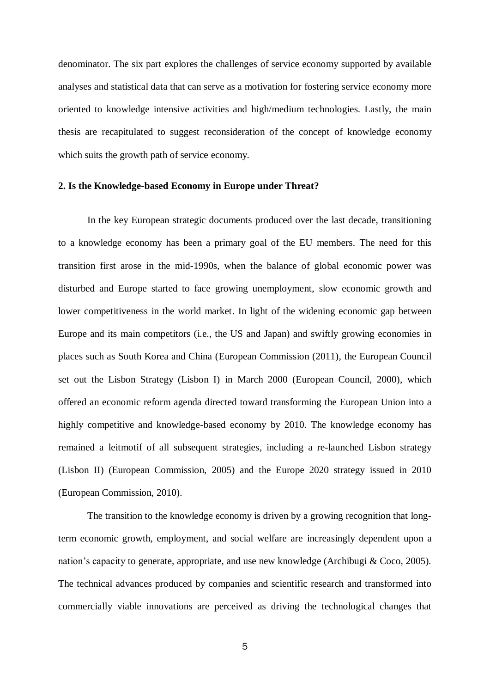denominator. The six part explores the challenges of service economy supported by available analyses and statistical data that can serve as a motivation for fostering service economy more oriented to knowledge intensive activities and high/medium technologies. Lastly, the main thesis are recapitulated to suggest reconsideration of the concept of knowledge economy which suits the growth path of service economy.

# **2. Is the Knowledge-based Economy in Europe under Threat?**

In the key European strategic documents produced over the last decade, transitioning to a knowledge economy has been a primary goal of the EU members. The need for this transition first arose in the mid-1990s, when the balance of global economic power was disturbed and Europe started to face growing unemployment, slow economic growth and lower competitiveness in the world market. In light of the widening economic gap between Europe and its main competitors (i.e., the US and Japan) and swiftly growing economies in places such as South Korea and China (European Commission (2011), the European Council set out the Lisbon Strategy (Lisbon I) in March 2000 (European Council, 2000), which offered an economic reform agenda directed toward transforming the European Union into a highly competitive and knowledge-based economy by 2010. The knowledge economy has remained a leitmotif of all subsequent strategies, including a re-launched Lisbon strategy (Lisbon II) (European Commission, 2005) and the Europe 2020 strategy issued in 2010 (European Commission, 2010).

The transition to the knowledge economy is driven by a growing recognition that longterm economic growth, employment, and social welfare are increasingly dependent upon a nation's capacity to generate, appropriate, and use new knowledge (Archibugi & Coco, 2005). The technical advances produced by companies and scientific research and transformed into commercially viable innovations are perceived as driving the technological changes that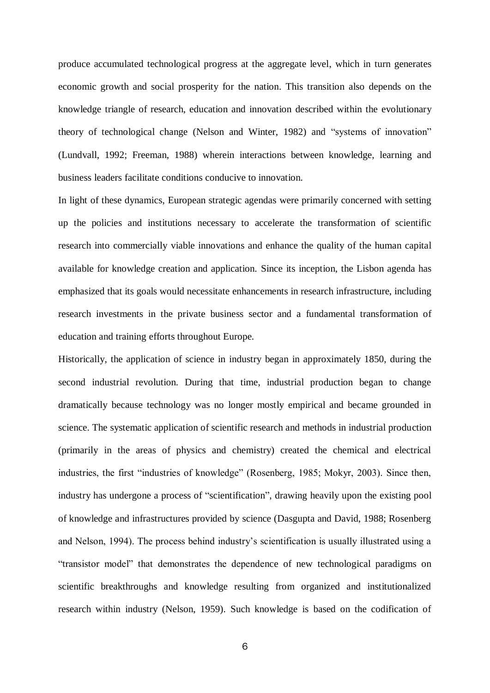produce accumulated technological progress at the aggregate level, which in turn generates economic growth and social prosperity for the nation. This transition also depends on the knowledge triangle of research, education and innovation described within the evolutionary theory of technological change (Nelson and Winter, 1982) and "systems of innovation" (Lundvall, 1992; Freeman, 1988) wherein interactions between knowledge, learning and business leaders facilitate conditions conducive to innovation.

In light of these dynamics, European strategic agendas were primarily concerned with setting up the policies and institutions necessary to accelerate the transformation of scientific research into commercially viable innovations and enhance the quality of the human capital available for knowledge creation and application. Since its inception, the Lisbon agenda has emphasized that its goals would necessitate enhancements in research infrastructure, including research investments in the private business sector and a fundamental transformation of education and training efforts throughout Europe.

Historically, the application of science in industry began in approximately 1850, during the second industrial revolution. During that time, industrial production began to change dramatically because technology was no longer mostly empirical and became grounded in science. The systematic application of scientific research and methods in industrial production (primarily in the areas of physics and chemistry) created the chemical and electrical industries, the first "industries of knowledge" (Rosenberg, 1985; Mokyr, 2003). Since then, industry has undergone a process of "scientification", drawing heavily upon the existing pool of knowledge and infrastructures provided by science (Dasgupta and David, 1988; Rosenberg and Nelson, 1994). The process behind industry's scientification is usually illustrated using a "transistor model" that demonstrates the dependence of new technological paradigms on scientific breakthroughs and knowledge resulting from organized and institutionalized research within industry (Nelson, 1959). Such knowledge is based on the codification of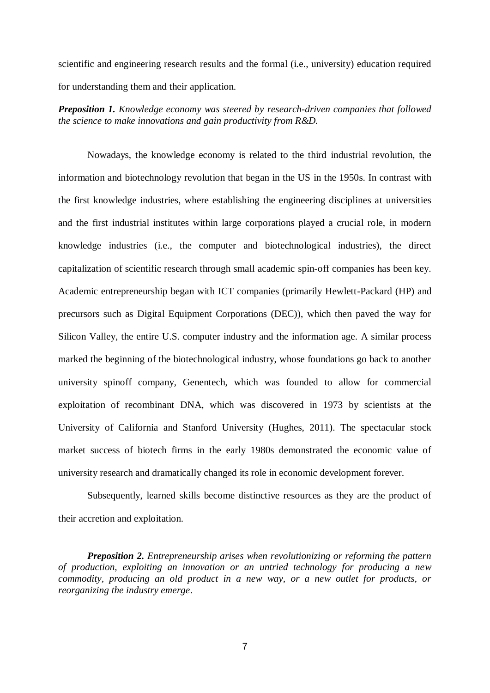scientific and engineering research results and the formal (i.e., university) education required for understanding them and their application.

*Preposition 1. Knowledge economy was steered by research-driven companies that followed the science to make innovations and gain productivity from R&D.*

Nowadays, the knowledge economy is related to the third industrial revolution, the information and biotechnology revolution that began in the US in the 1950s. In contrast with the first knowledge industries, where establishing the engineering disciplines at universities and the first industrial institutes within large corporations played a crucial role, in modern knowledge industries (i.e., the computer and biotechnological industries), the direct capitalization of scientific research through small academic spin-off companies has been key. Academic entrepreneurship began with ICT companies (primarily Hewlett-Packard (HP) and precursors such as Digital Equipment Corporations (DEC)), which then paved the way for Silicon Valley, the entire U.S. computer industry and the information age. A similar process marked the beginning of the biotechnological industry, whose foundations go back to another university spinoff company, Genentech, which was founded to allow for commercial exploitation of recombinant DNA, which was discovered in 1973 by scientists at the University of California and Stanford University (Hughes, 2011). The spectacular stock market success of biotech firms in the early 1980s demonstrated the economic value of university research and dramatically changed its role in economic development forever.

Subsequently, learned skills become distinctive resources as they are the product of their accretion and exploitation.

*Preposition 2. Entrepreneurship arises when revolutionizing or reforming the pattern of production, exploiting an innovation or an untried technology for producing a new commodity, producing an old product in a new way, or a new outlet for products, or reorganizing the industry emerge*.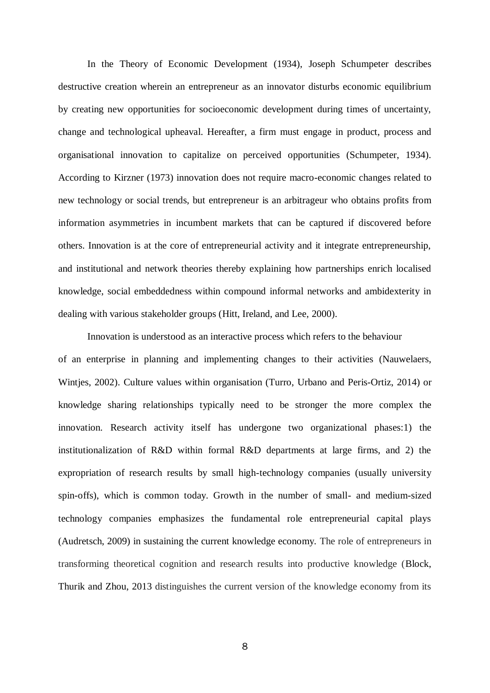In the Theory of Economic Development (1934), Joseph Schumpeter describes destructive creation wherein an entrepreneur as an innovator disturbs economic equilibrium by creating new opportunities for socioeconomic development during times of uncertainty, change and technological upheaval. Hereafter, a firm must engage in product, process and organisational innovation to capitalize on perceived opportunities (Schumpeter, 1934). According to Kirzner (1973) innovation does not require macro-economic changes related to new technology or social trends, but entrepreneur is an arbitrageur who obtains profits from information asymmetries in incumbent markets that can be captured if discovered before others. Innovation is at the core of entrepreneurial activity and it integrate entrepreneurship, and institutional and network theories thereby explaining how partnerships enrich localised knowledge, social embeddedness within compound informal networks and ambidexterity in dealing with various stakeholder groups (Hitt, Ireland, and Lee, 2000).

Innovation is understood as an interactive process which refers to the behaviour of an enterprise in planning and implementing changes to their activities (Nauwelaers, Wintjes, 2002). Culture values within organisation (Turro, Urbano and Peris-Ortiz, 2014) or knowledge sharing relationships typically need to be stronger the more complex the innovation. Research activity itself has undergone two organizational phases:1) the institutionalization of R&D within formal R&D departments at large firms, and 2) the expropriation of research results by small high-technology companies (usually university spin-offs), which is common today. Growth in the number of small- and medium-sized technology companies emphasizes the fundamental role entrepreneurial capital plays (Audretsch, 2009) in sustaining the current knowledge economy. The role of entrepreneurs in transforming theoretical cognition and research results into productive knowledge (Block, Thurik and Zhou, 2013 distinguishes the current version of the knowledge economy from its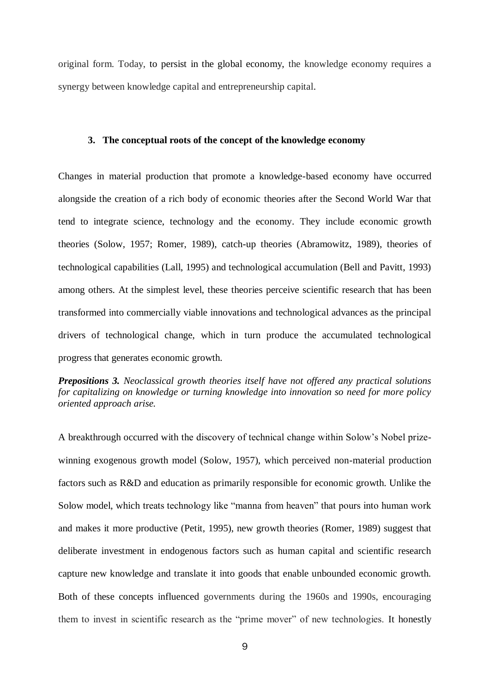original form. Today, to persist in the global economy, the knowledge economy requires a synergy between knowledge capital and entrepreneurship capital.

#### **3. The conceptual roots of the concept of the knowledge economy**

Changes in material production that promote a knowledge-based economy have occurred alongside the creation of a rich body of economic theories after the Second World War that tend to integrate science, technology and the economy. They include economic growth theories (Solow, 1957; Romer, 1989), catch-up theories (Abramowitz, 1989), theories of technological capabilities (Lall, 1995) and technological accumulation (Bell and Pavitt, 1993) among others. At the simplest level, these theories perceive scientific research that has been transformed into commercially viable innovations and technological advances as the principal drivers of technological change, which in turn produce the accumulated technological progress that generates economic growth.

*Prepositions 3. Neoclassical growth theories itself have not offered any practical solutions for capitalizing on knowledge or turning knowledge into innovation so need for more policy oriented approach arise.* 

A breakthrough occurred with the discovery of technical change within Solow's Nobel prizewinning exogenous growth model (Solow, 1957), which perceived non-material production factors such as R&D and education as primarily responsible for economic growth. Unlike the Solow model, which treats technology like "manna from heaven" that pours into human work and makes it more productive (Petit, 1995), new growth theories (Romer, 1989) suggest that deliberate investment in endogenous factors such as human capital and scientific research capture new knowledge and translate it into goods that enable unbounded economic growth. Both of these concepts influenced governments during the 1960s and 1990s, encouraging them to invest in scientific research as the "prime mover" of new technologies. It honestly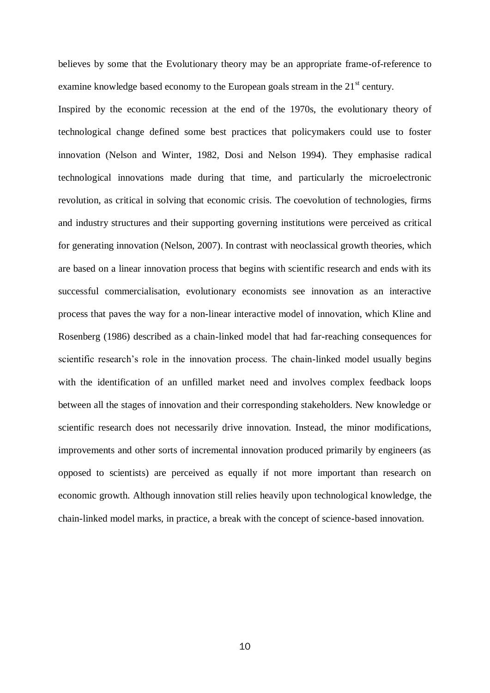believes by some that the Evolutionary theory may be an appropriate frame-of-reference to examine knowledge based economy to the European goals stream in the 21<sup>st</sup> century.

Inspired by the economic recession at the end of the 1970s, the evolutionary theory of technological change defined some best practices that policymakers could use to foster innovation (Nelson and Winter, 1982, Dosi and Nelson 1994). They emphasise radical technological innovations made during that time, and particularly the microelectronic revolution, as critical in solving that economic crisis. The coevolution of technologies, firms and industry structures and their supporting governing institutions were perceived as critical for generating innovation (Nelson, 2007). In contrast with neoclassical growth theories, which are based on a linear innovation process that begins with scientific research and ends with its successful commercialisation, evolutionary economists see innovation as an interactive process that paves the way for a non-linear interactive model of innovation, which Kline and Rosenberg (1986) described as a chain-linked model that had far-reaching consequences for scientific research's role in the innovation process. The chain-linked model usually begins with the identification of an unfilled market need and involves complex feedback loops between all the stages of innovation and their corresponding stakeholders. New knowledge or scientific research does not necessarily drive innovation. Instead, the minor modifications, improvements and other sorts of incremental innovation produced primarily by engineers (as opposed to scientists) are perceived as equally if not more important than research on economic growth. Although innovation still relies heavily upon technological knowledge, the chain-linked model marks, in practice, a break with the concept of science-based innovation.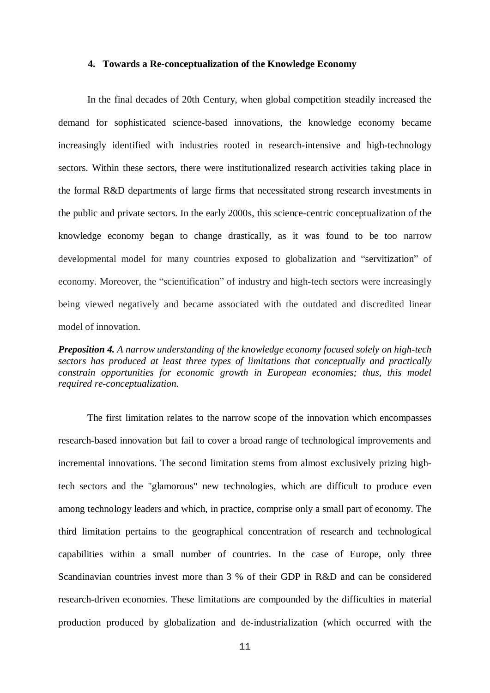#### **4. Towards a Re-conceptualization of the Knowledge Economy**

In the final decades of 20th Century, when global competition steadily increased the demand for sophisticated science-based innovations, the knowledge economy became increasingly identified with industries rooted in research-intensive and high-technology sectors. Within these sectors, there were institutionalized research activities taking place in the formal R&D departments of large firms that necessitated strong research investments in the public and private sectors. In the early 2000s, this science-centric conceptualization of the knowledge economy began to change drastically, as it was found to be too narrow developmental model for many countries exposed to globalization and "servitization" of economy. Moreover, the "scientification" of industry and high-tech sectors were increasingly being viewed negatively and became associated with the outdated and discredited linear model of innovation.

*Preposition 4. A narrow understanding of the knowledge economy focused solely on high-tech sectors has produced at least three types of limitations that conceptually and practically constrain opportunities for economic growth in European economies; thus, this model required re-conceptualization.* 

The first limitation relates to the narrow scope of the innovation which encompasses research-based innovation but fail to cover a broad range of technological improvements and incremental innovations. The second limitation stems from almost exclusively prizing hightech sectors and the "glamorous" new technologies, which are difficult to produce even among technology leaders and which, in practice, comprise only a small part of economy. The third limitation pertains to the geographical concentration of research and technological capabilities within a small number of countries. In the case of Europe, only three Scandinavian countries invest more than 3 % of their GDP in R&D and can be considered research-driven economies. These limitations are compounded by the difficulties in material production produced by globalization and de-industrialization (which occurred with the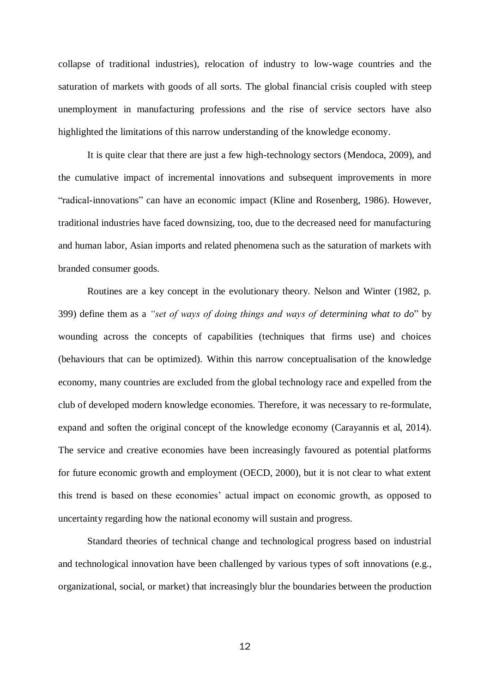collapse of traditional industries), relocation of industry to low-wage countries and the saturation of markets with goods of all sorts. The global financial crisis coupled with steep unemployment in manufacturing professions and the rise of service sectors have also highlighted the limitations of this narrow understanding of the knowledge economy.

It is quite clear that there are just a few high-technology sectors (Mendoca, 2009), and the cumulative impact of incremental innovations and subsequent improvements in more "radical-innovations" can have an economic impact (Kline and Rosenberg, 1986). However, traditional industries have faced downsizing, too, due to the decreased need for manufacturing and human labor, Asian imports and related phenomena such as the saturation of markets with branded consumer goods.

Routines are a key concept in the evolutionary theory. Nelson and Winter (1982, p. 399) define them as a *"set of ways of doing things and ways of determining what to do*" by wounding across the concepts of capabilities (techniques that firms use) and choices (behaviours that can be optimized). Within this narrow conceptualisation of the knowledge economy, many countries are excluded from the global technology race and expelled from the club of developed modern knowledge economies. Therefore, it was necessary to re-formulate, expand and soften the original concept of the knowledge economy (Carayannis et al, 2014). The service and creative economies have been increasingly favoured as potential platforms for future economic growth and employment (OECD, 2000), but it is not clear to what extent this trend is based on these economies' actual impact on economic growth, as opposed to uncertainty regarding how the national economy will sustain and progress.

 Standard theories of technical change and technological progress based on industrial and technological innovation have been challenged by various types of soft innovations (e.g., organizational, social, or market) that increasingly blur the boundaries between the production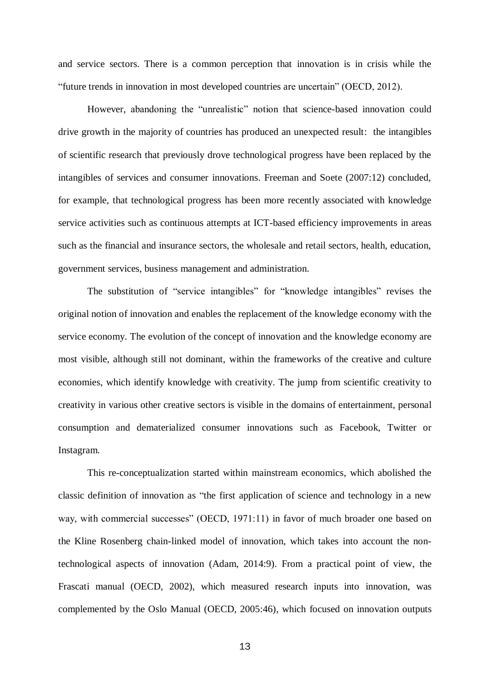and service sectors. There is a common perception that innovation is in crisis while the "future trends in innovation in most developed countries are uncertain" (OECD, 2012).

However, abandoning the "unrealistic" notion that science-based innovation could drive growth in the majority of countries has produced an unexpected result: the intangibles of scientific research that previously drove technological progress have been replaced by the intangibles of services and consumer innovations. Freeman and Soete (2007:12) concluded, for example, that technological progress has been more recently associated with knowledge service activities such as continuous attempts at ICT-based efficiency improvements in areas such as the financial and insurance sectors, the wholesale and retail sectors, health, education, government services, business management and administration.

The substitution of "service intangibles" for "knowledge intangibles" revises the original notion of innovation and enables the replacement of the knowledge economy with the service economy. The evolution of the concept of innovation and the knowledge economy are most visible, although still not dominant, within the frameworks of the creative and culture economies, which identify knowledge with creativity. The jump from scientific creativity to creativity in various other creative sectors is visible in the domains of entertainment, personal consumption and dematerialized consumer innovations such as Facebook, Twitter or Instagram.

This re-conceptualization started within mainstream economics, which abolished the classic definition of innovation as "the first application of science and technology in a new way, with commercial successes" (OECD, 1971:11) in favor of much broader one based on the Kline Rosenberg chain-linked model of innovation, which takes into account the nontechnological aspects of innovation (Adam, 2014:9). From a practical point of view, the Frascati manual (OECD, 2002), which measured research inputs into innovation, was complemented by the Oslo Manual (OECD, 2005:46), which focused on innovation outputs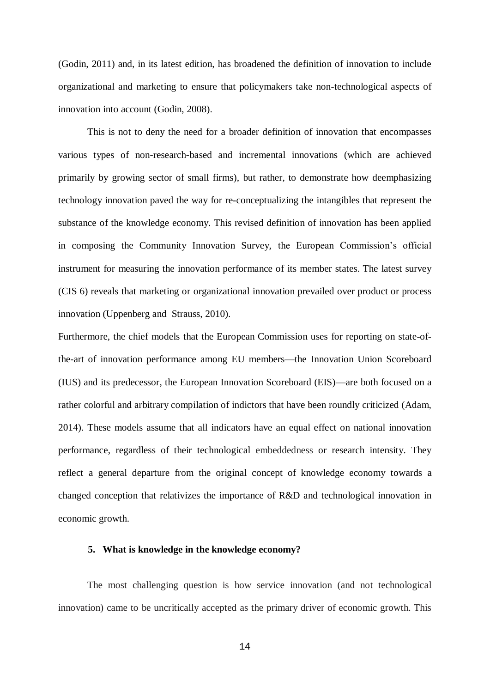(Godin, 2011) and, in its latest edition, has broadened the definition of innovation to include organizational and marketing to ensure that policymakers take non-technological aspects of innovation into account (Godin, 2008).

This is not to deny the need for a broader definition of innovation that encompasses various types of non-research-based and incremental innovations (which are achieved primarily by growing sector of small firms), but rather, to demonstrate how deemphasizing technology innovation paved the way for re-conceptualizing the intangibles that represent the substance of the knowledge economy. This revised definition of innovation has been applied in composing the Community Innovation Survey, the European Commission's official instrument for measuring the innovation performance of its member states. The latest survey (CIS 6) reveals that marketing or organizational innovation prevailed over product or process innovation (Uppenberg and Strauss, 2010).

Furthermore, the chief models that the European Commission uses for reporting on state-ofthe-art of innovation performance among EU members—the Innovation Union Scoreboard (IUS) and its predecessor, the European Innovation Scoreboard (EIS)—are both focused on a rather colorful and arbitrary compilation of indictors that have been roundly criticized (Adam, 2014). These models assume that all indicators have an equal effect on national innovation performance, regardless of their technological embeddedness or research intensity. They reflect a general departure from the original concept of knowledge economy towards a changed conception that relativizes the importance of R&D and technological innovation in economic growth.

#### **5. What is knowledge in the knowledge economy?**

The most challenging question is how service innovation (and not technological innovation) came to be uncritically accepted as the primary driver of economic growth. This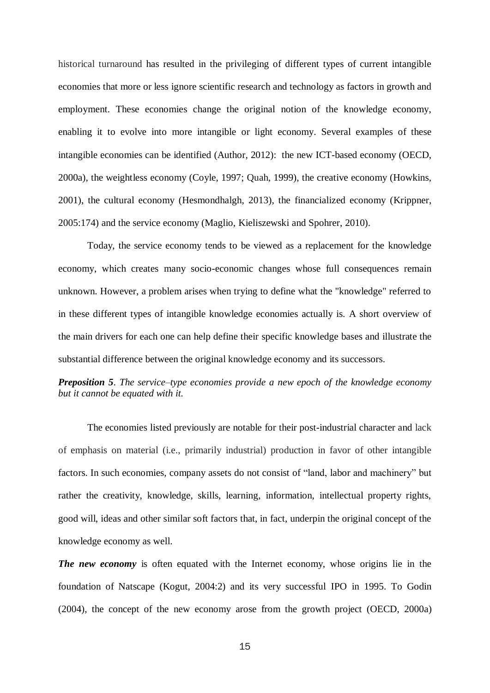historical turnaround has resulted in the privileging of different types of current intangible economies that more or less ignore scientific research and technology as factors in growth and employment. These economies change the original notion of the knowledge economy, enabling it to evolve into more intangible or light economy. Several examples of these intangible economies can be identified (Author, 2012): the new ICT-based economy (OECD, 2000a), the weightless economy (Coyle, 1997; Quah, 1999), the creative economy (Howkins, 2001), the cultural economy (Hesmondhalgh, 2013), the financialized economy (Krippner, 2005:174) and the service economy (Maglio, Kieliszewski and Spohrer, 2010).

Today, the service economy tends to be viewed as a replacement for the knowledge economy, which creates many socio-economic changes whose full consequences remain unknown. However, a problem arises when trying to define what the "knowledge" referred to in these different types of intangible knowledge economies actually is. A short overview of the main drivers for each one can help define their specific knowledge bases and illustrate the substantial difference between the original knowledge economy and its successors.

# *Preposition 5*. *The service–type economies provide a new epoch of the knowledge economy but it cannot be equated with it.*

The economies listed previously are notable for their post-industrial character and lack of emphasis on material (i.e., primarily industrial) production in favor of other intangible factors. In such economies, company assets do not consist of "land, labor and machinery" but rather the creativity, knowledge, skills, learning, information, intellectual property rights, good will, ideas and other similar soft factors that, in fact, underpin the original concept of the knowledge economy as well.

*The new economy* is often equated with the Internet economy, whose origins lie in the foundation of Natscape (Kogut, 2004:2) and its very successful IPO in 1995. To Godin (2004), the concept of the new economy arose from the growth project (OECD, 2000a)

15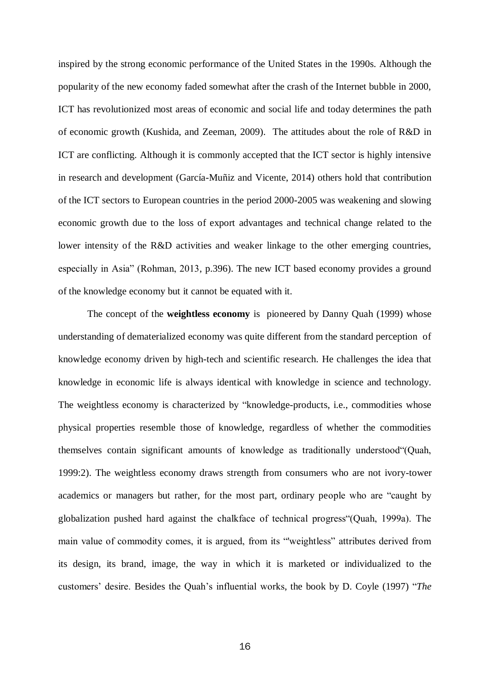inspired by the strong economic performance of the United States in the 1990s. Although the popularity of the new economy faded somewhat after the crash of the Internet bubble in 2000, ICT has revolutionized most areas of economic and social life and today determines the path of economic growth (Kushida, and Zeeman, 2009). The attitudes about the role of R&D in ICT are conflicting. Although it is commonly accepted that the ICT sector is highly intensive in research and development (García-Muñiz and Vicente, 2014) others hold that contribution of the ICT sectors to European countries in the period 2000-2005 was weakening and slowing economic growth due to the loss of export advantages and technical change related to the lower intensity of the R&D activities and weaker linkage to the other emerging countries, especially in Asia" (Rohman, 2013, p.396). The new ICT based economy provides a ground of the knowledge economy but it cannot be equated with it.

The concept of the **weightless economy** is pioneered by Danny Quah (1999) whose understanding of dematerialized economy was quite different from the standard perception of knowledge economy driven by high-tech and scientific research. He challenges the idea that knowledge in economic life is always identical with knowledge in science and technology. The weightless economy is characterized by "knowledge-products, i.e., commodities whose physical properties resemble those of knowledge, regardless of whether the commodities themselves contain significant amounts of knowledge as traditionally understood"(Quah, 1999:2). The weightless economy draws strength from consumers who are not ivory-tower academics or managers but rather, for the most part, ordinary people who are "caught by globalization pushed hard against the chalkface of technical progress"(Quah, 1999a). The main value of commodity comes, it is argued, from its "'weightless" attributes derived from its design, its brand, image, the way in which it is marketed or individualized to the customers' desire. Besides the Quah's influential works, the book by D. Coyle (1997) "*The*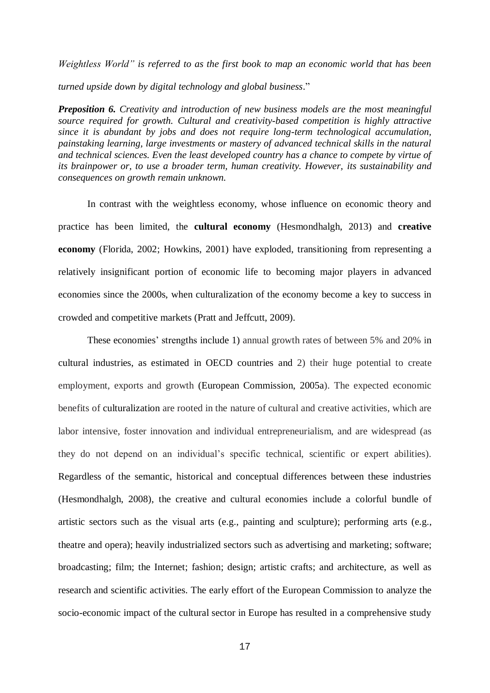*Weightless World" is referred to as the first book to map an economic world that has been turned upside down by digital technology and global business*."

*Preposition 6. Creativity and introduction of new business models are the most meaningful source required for growth. Cultural and creativity-based competition is highly attractive since it is abundant by jobs and does not require long-term technological accumulation, painstaking learning, large investments or mastery of advanced technical skills in the natural and technical sciences. Even the least developed country has a chance to compete by virtue of its brainpower or, to use a broader term, human creativity. However, its sustainability and consequences on growth remain unknown.*

In contrast with the weightless economy, whose influence on economic theory and practice has been limited, the **cultural economy** (Hesmondhalgh, 2013) and **creative economy** (Florida, 2002; Howkins, 2001) have exploded, transitioning from representing a relatively insignificant portion of economic life to becoming major players in advanced economies since the 2000s, when culturalization of the economy become a key to success in crowded and competitive markets (Pratt and Jeffcutt, 2009).

These economies' strengths include 1) annual growth rates of between 5% and 20% in cultural industries, as estimated in OECD countries and 2) their huge potential to create employment, exports and growth (European Commission, 2005a). The expected economic benefits of culturalization are rooted in the nature of cultural and creative activities, which are labor intensive, foster innovation and individual entrepreneurialism, and are widespread (as they do not depend on an individual's specific technical, scientific or expert abilities). Regardless of the semantic, historical and conceptual differences between these industries (Hesmondhalgh, 2008), the creative and cultural economies include a colorful bundle of artistic sectors such as the visual arts (e.g., painting and sculpture); performing arts (e.g., theatre and opera); heavily industrialized sectors such as advertising and marketing; software; broadcasting; film; the Internet; fashion; design; artistic crafts; and architecture, as well as research and scientific activities. The early effort of the European Commission to analyze the socio-economic impact of the cultural sector in Europe has resulted in a comprehensive study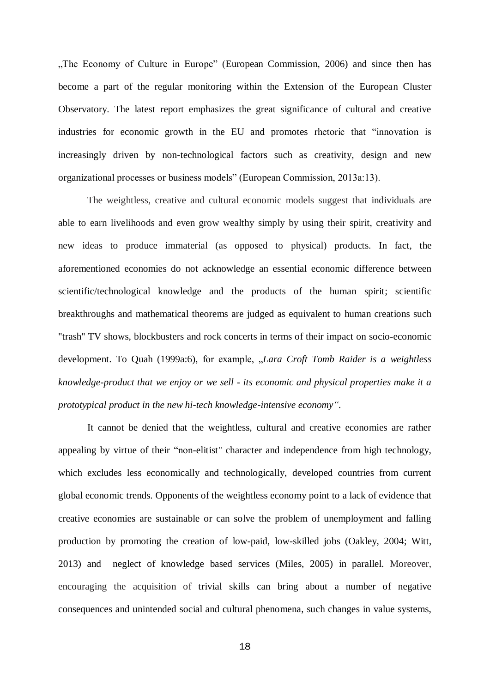"The Economy of Culture in Europe" (European Commission, 2006) and since then has become a part of the regular monitoring within the Extension of the European Cluster Observatory. The latest report emphasizes the great significance of cultural and creative industries for economic growth in the EU and promotes rhetoric that "innovation is increasingly driven by non-technological factors such as creativity, design and new organizational processes or business models" (European Commission, 2013a:13).

The weightless, creative and cultural economic models suggest that individuals are able to earn livelihoods and even grow wealthy simply by using their spirit, creativity and new ideas to produce immaterial (as opposed to physical) products. In fact, the aforementioned economies do not acknowledge an essential economic difference between scientific/technological knowledge and the products of the human spirit; scientific breakthroughs and mathematical theorems are judged as equivalent to human creations such "trash" TV shows, blockbusters and rock concerts in terms of their impact on socio-economic development. To Quah (1999a:6), for example, "*Lara Croft Tomb Raider is a weightless knowledge-product that we enjoy or we sell - its economic and physical properties make it a prototypical product in the new hi-tech knowledge-intensive economy".*

It cannot be denied that the weightless, cultural and creative economies are rather appealing by virtue of their "non-elitist" character and independence from high technology, which excludes less economically and technologically, developed countries from current global economic trends. Opponents of the weightless economy point to a lack of evidence that creative economies are sustainable or can solve the problem of unemployment and falling production by promoting the creation of low-paid, low-skilled jobs (Oakley, 2004; Witt, 2013) and neglect of knowledge based services (Miles, 2005) in parallel. Moreover, encouraging the acquisition of trivial skills can bring about a number of negative consequences and unintended social and cultural phenomena, such changes in value systems,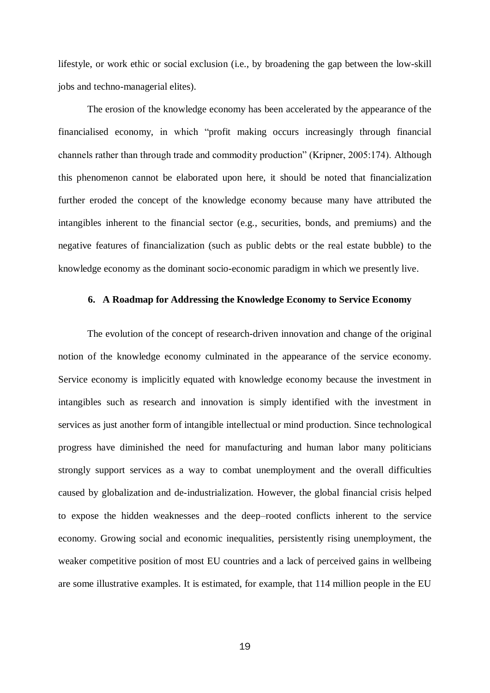lifestyle, or work ethic or social exclusion (i.e., by broadening the gap between the low-skill jobs and techno-managerial elites).

The erosion of the knowledge economy has been accelerated by the appearance of the financialised economy, in which "profit making occurs increasingly through financial channels rather than through trade and commodity production" (Kripner, 2005:174). Although this phenomenon cannot be elaborated upon here, it should be noted that financialization further eroded the concept of the knowledge economy because many have attributed the intangibles inherent to the financial sector (e.g., securities, bonds, and premiums) and the negative features of financialization (such as public debts or the real estate bubble) to the knowledge economy as the dominant socio-economic paradigm in which we presently live.

#### **6. A Roadmap for Addressing the Knowledge Economy to Service Economy**

The evolution of the concept of research-driven innovation and change of the original notion of the knowledge economy culminated in the appearance of the service economy. Service economy is implicitly equated with knowledge economy because the investment in intangibles such as research and innovation is simply identified with the investment in services as just another form of intangible intellectual or mind production. Since technological progress have diminished the need for manufacturing and human labor many politicians strongly support services as a way to combat unemployment and the overall difficulties caused by globalization and de-industrialization. However, the global financial crisis helped to expose the hidden weaknesses and the deep–rooted conflicts inherent to the service economy. Growing social and economic inequalities, persistently rising unemployment, the weaker competitive position of most EU countries and a lack of perceived gains in wellbeing are some illustrative examples. It is estimated, for example, that 114 million people in the EU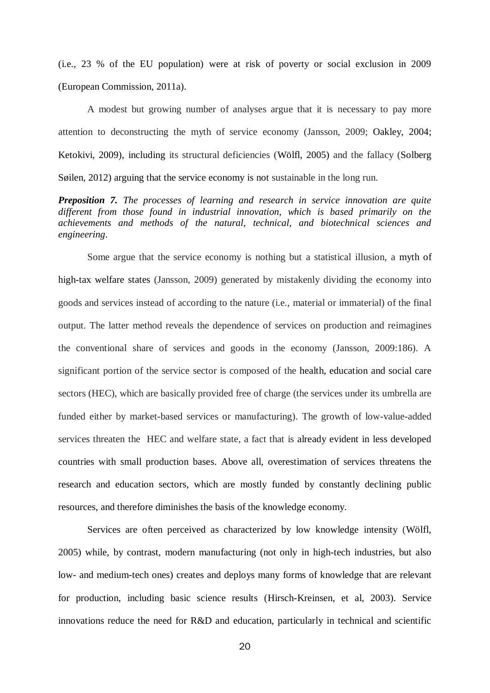(i.e., 23 % of the EU population) were at risk of poverty or social exclusion in 2009 (European Commission, 2011a).

A modest but growing number of analyses argue that it is necessary to pay more attention to deconstructing the myth of service economy (Jansson, 2009; Oakley, 2004; Ketokivi, 2009), including its structural deficiencies (Wölfl, 2005) and the fallacy (Solberg Søilen, 2012) arguing that the service economy is not sustainable in the long run.

*Preposition 7. The processes of learning and research in service innovation are quite different from those found in industrial innovation, which is based primarily on the achievements and methods of the natural, technical, and biotechnical sciences and engineering*.

Some argue that the service economy is nothing but a statistical illusion, a myth of high-tax welfare states (Jansson, 2009) generated by mistakenly dividing the economy into goods and services instead of according to the nature (i.e., material or immaterial) of the final output. The latter method reveals the dependence of services on production and reimagines the conventional share of services and goods in the economy (Jansson, 2009:186). A significant portion of the service sector is composed of the health, education and social care sectors (HEC), which are basically provided free of charge (the services under its umbrella are funded either by market-based services or manufacturing). The growth of low-value-added services threaten the HEC and welfare state, a fact that is already evident in less developed countries with small production bases. Above all, overestimation of services threatens the research and education sectors, which are mostly funded by constantly declining public resources, and therefore diminishes the basis of the knowledge economy.

Services are often perceived as characterized by low knowledge intensity (Wölfl, 2005) while, by contrast, modern manufacturing (not only in high-tech industries, but also low- and medium-tech ones) creates and deploys many forms of knowledge that are relevant for production, including basic science results (Hirsch-Kreinsen, et al, 2003). Service innovations reduce the need for R&D and education, particularly in technical and scientific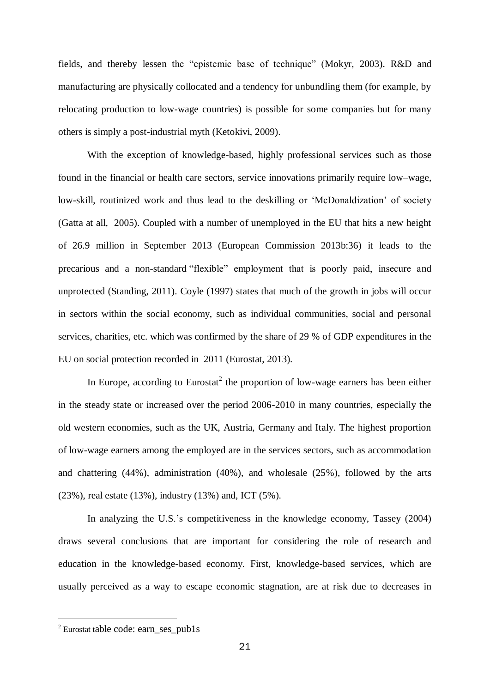fields, and thereby lessen the "epistemic base of technique" (Mokyr, 2003). R&D and manufacturing are physically collocated and a tendency for unbundling them (for example, by relocating production to low-wage countries) is possible for some companies but for many others is simply a post-industrial myth (Ketokivi, 2009).

With the exception of knowledge-based, highly professional services such as those found in the financial or health care sectors, service innovations primarily require low–wage, low-skill, routinized work and thus lead to the deskilling or 'McDonaldization' of society (Gatta at all, 2005). Coupled with a number of unemployed in the EU that hits a new height of 26.9 million in September 2013 (European Commission 2013b:36) it leads to the precarious and a non-standard "flexible" employment that is poorly paid, insecure and unprotected (Standing, 2011). Coyle (1997) states that much of the growth in jobs will occur in sectors within the social economy, such as individual communities, social and personal services, charities, etc. which was confirmed by the share of 29 % of GDP expenditures in the EU on social protection recorded in 2011 (Eurostat, 2013).

In Europe, according to Eurostat<sup>2</sup> the proportion of low-wage earners has been either in the steady state or increased over the period 2006-2010 in many countries, especially the old western economies, such as the UK, Austria, Germany and Italy. The highest proportion of low-wage earners among the employed are in the services sectors, such as accommodation and chattering (44%), administration (40%), and wholesale (25%), followed by the arts (23%), real estate (13%), industry (13%) and, ICT (5%).

In analyzing the U.S.'s competitiveness in the knowledge economy, Tassey (2004) draws several conclusions that are important for considering the role of research and education in the knowledge-based economy. First, knowledge-based services, which are usually perceived as a way to escape economic stagnation, are at risk due to decreases in

**.** 

<sup>2</sup> Eurostat table code: earn\_ses\_pub1s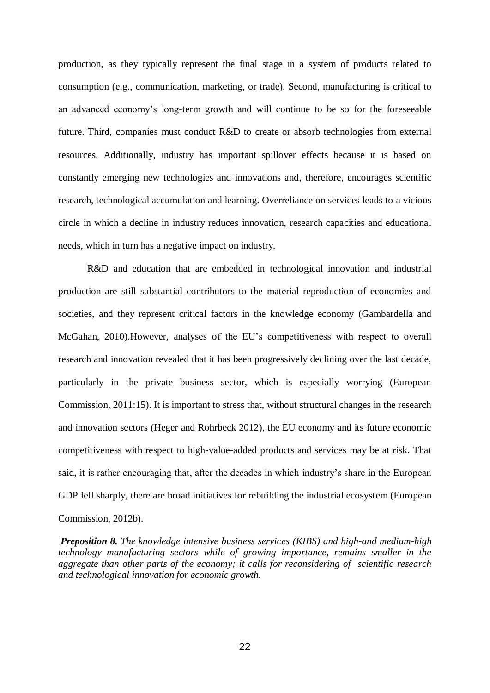production, as they typically represent the final stage in a system of products related to consumption (e.g., communication, marketing, or trade). Second, manufacturing is critical to an advanced economy's long-term growth and will continue to be so for the foreseeable future. Third, companies must conduct R&D to create or absorb technologies from external resources. Additionally, industry has important spillover effects because it is based on constantly emerging new technologies and innovations and, therefore, encourages scientific research, technological accumulation and learning. Overreliance on services leads to a vicious circle in which a decline in industry reduces innovation, research capacities and educational needs, which in turn has a negative impact on industry.

R&D and education that are embedded in technological innovation and industrial production are still substantial contributors to the material reproduction of economies and societies, and they represent critical factors in the knowledge economy (Gambardella and McGahan, 2010).However, analyses of the EU's competitiveness with respect to overall research and innovation revealed that it has been progressively declining over the last decade, particularly in the private business sector, which is especially worrying (European Commission, 2011:15). It is important to stress that, without structural changes in the research and innovation sectors (Heger and Rohrbeck 2012), the EU economy and its future economic competitiveness with respect to high-value-added products and services may be at risk. That said, it is rather encouraging that, after the decades in which industry's share in the European GDP fell sharply, there are broad initiatives for rebuilding the industrial ecosystem (European Commission, 2012b).

 *Preposition 8. The knowledge intensive business services (KIBS) and high-and medium-high technology manufacturing sectors while of growing importance, remains smaller in the aggregate than other parts of the economy; it calls for reconsidering of scientific research and technological innovation for economic growth.*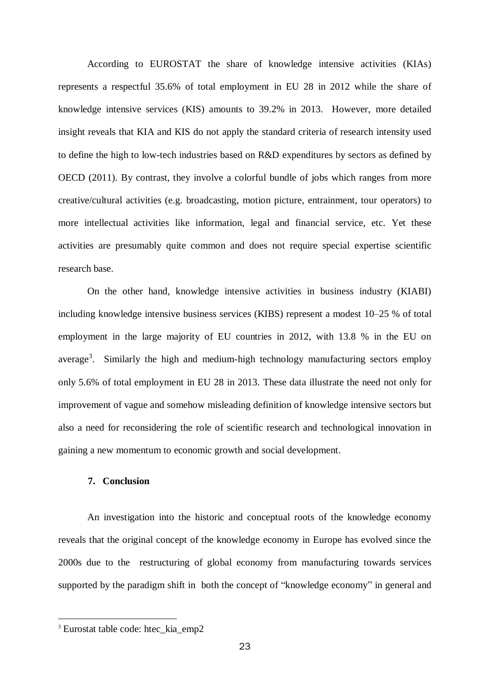According to EUROSTAT the share of knowledge intensive activities (KIAs) represents a respectful 35.6% of total employment in EU 28 in 2012 while the share of knowledge intensive services (KIS) amounts to 39.2% in 2013. However, more detailed insight reveals that KIA and KIS do not apply the standard criteria of research intensity used to define the high to low-tech industries based on R&D expenditures by sectors as defined by OECD (2011). By contrast, they involve a colorful bundle of jobs which ranges from more creative/cultural activities (e.g. broadcasting, motion picture, entrainment, tour operators) to more intellectual activities like information, legal and financial service, etc. Yet these activities are presumably quite common and does not require special expertise scientific research base.

On the other hand, knowledge intensive activities in business industry (KIABI) including knowledge intensive business services (KIBS) represent a modest 10–25 % of total employment in the large majority of EU countries in 2012, with 13.8 % in the EU on average<sup>3</sup>. Similarly the high and medium-high technology manufacturing sectors employ only 5.6% of total employment in EU 28 in 2013. These data illustrate the need not only for improvement of vague and somehow misleading definition of knowledge intensive sectors but also a need for reconsidering the role of scientific research and technological innovation in gaining a new momentum to economic growth and social development.

# **7. Conclusion**

An investigation into the historic and conceptual roots of the knowledge economy reveals that the original concept of the knowledge economy in Europe has evolved since the 2000s due to the restructuring of global economy from manufacturing towards services supported by the paradigm shift in both the concept of "knowledge economy" in general and

**.** 

<sup>&</sup>lt;sup>3</sup> Eurostat table code: htec\_kia\_emp2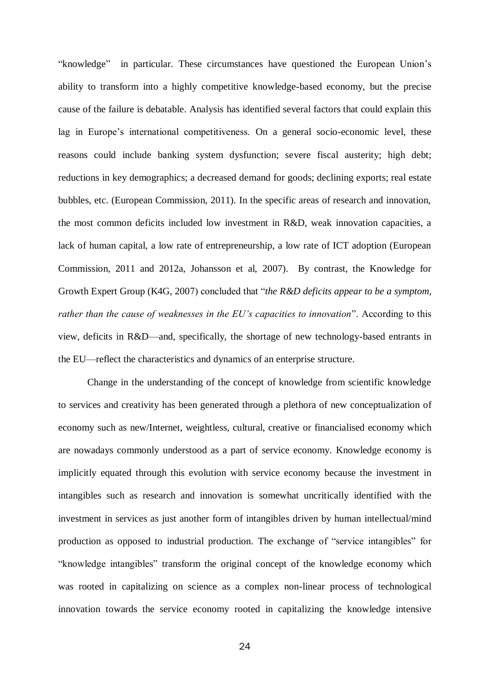"knowledge" in particular. These circumstances have questioned the European Union's ability to transform into a highly competitive knowledge-based economy, but the precise cause of the failure is debatable. Analysis has identified several factors that could explain this lag in Europe's international competitiveness. On a general socio-economic level, these reasons could include banking system dysfunction; severe fiscal austerity; high debt; reductions in key demographics; a decreased demand for goods; declining exports; real estate bubbles, etc. (European Commission, 2011). In the specific areas of research and innovation, the most common deficits included low investment in R&D, weak innovation capacities, a lack of human capital, a low rate of entrepreneurship, a low rate of ICT adoption (European Commission, 2011 and 2012a, Johansson et al, 2007). By contrast, the Knowledge for Growth Expert Group (K4G, 2007) concluded that "*the R&D deficits appear to be a symptom, rather than the cause of weaknesses in the EU's capacities to innovation*". According to this view, deficits in R&D—and, specifically, the shortage of new technology-based entrants in the EU—reflect the characteristics and dynamics of an enterprise structure.

Change in the understanding of the concept of knowledge from scientific knowledge to services and creativity has been generated through a plethora of new conceptualization of economy such as new/Internet, weightless, cultural, creative or financialised economy which are nowadays commonly understood as a part of service economy. Knowledge economy is implicitly equated through this evolution with service economy because the investment in intangibles such as research and innovation is somewhat uncritically identified with the investment in services as just another form of intangibles driven by human intellectual/mind production as opposed to industrial production. The exchange of "service intangibles" for "knowledge intangibles" transform the original concept of the knowledge economy which was rooted in capitalizing on science as a complex non-linear process of technological innovation towards the service economy rooted in capitalizing the knowledge intensive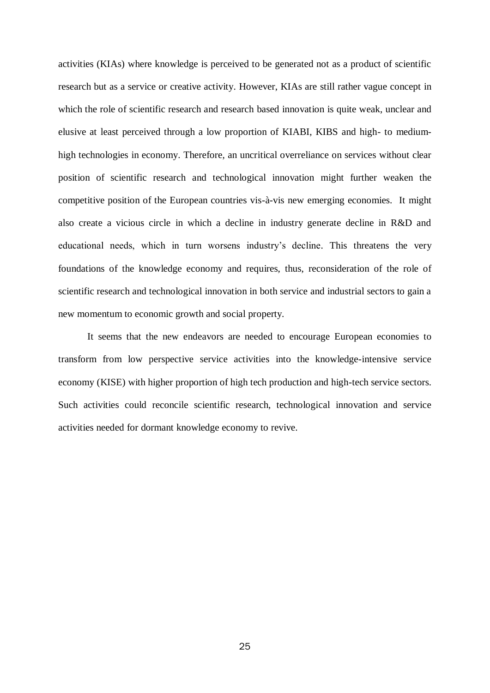activities (KIAs) where knowledge is perceived to be generated not as a product of scientific research but as a service or creative activity. However, KIAs are still rather vague concept in which the role of scientific research and research based innovation is quite weak, unclear and elusive at least perceived through a low proportion of KIABI, KIBS and high- to mediumhigh technologies in economy. Therefore, an uncritical overreliance on services without clear position of scientific research and technological innovation might further weaken the competitive position of the European countries vis-à-vis new emerging economies. It might also create a vicious circle in which a decline in industry generate decline in R&D and educational needs, which in turn worsens industry's decline. This threatens the very foundations of the knowledge economy and requires, thus, reconsideration of the role of scientific research and technological innovation in both service and industrial sectors to gain a new momentum to economic growth and social property.

 It seems that the new endeavors are needed to encourage European economies to transform from low perspective service activities into the knowledge-intensive service economy (KISE) with higher proportion of high tech production and high-tech service sectors. Such activities could reconcile scientific research, technological innovation and service activities needed for dormant knowledge economy to revive.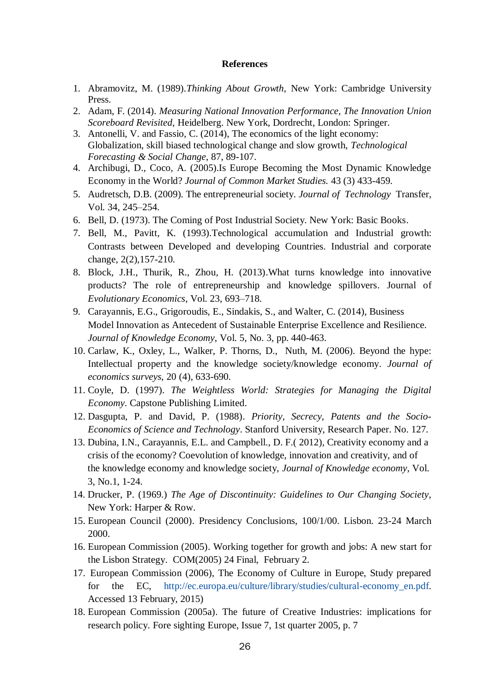#### **References**

- 1. Abramovitz, M. (1989).*Thinking About Growth*, New York: Cambridge University Press.
- 2. Adam, F. (2014). *Measuring National Innovation Performance, The Innovation Union Scoreboard Revisited*, Heidelberg. New York, Dordrecht, London: Springer.
- 3. Antonelli, V. and Fassio, C. (2014), The economics of the light economy: Globalization, skill biased technological change and slow growth, *Technological Forecasting & Social Change*, 87, 89-107.
- 4. Archibugi, D., Coco, A. (2005).Is Europe Becoming the Most Dynamic Knowledge Economy in the World? *[Journal of Common Market Studies.](http://papers.ssrn.com/sol3/papers.cfm?abstract_id=786101##)* 43 (3) 433-459.
- 5. Audretsch, D.B. (2009). The entrepreneurial society. *Journal of Technology* Transfer, Vol. 34, 245–254.
- 6. Bell, D. (1973). The Coming of Post Industrial Society. New York: Basic Books.
- 7. Bell, M., Pavitt, K. (1993).Technological accumulation and Industrial growth: Contrasts between Developed and developing Countries. Industrial and corporate change, 2(2),157-210.
- 8. Block, J.H., Thurik, R., Zhou, H. (2013).What turns knowledge into innovative products? The role of entrepreneurship and knowledge spillovers. Journal of *Evolutionary Economics*, Vol. 23, 693–718.
- 9. Carayannis, E.G., Grigoroudis, E., Sindakis, S., and Walter, C. (2014), Business Model Innovation as Antecedent of Sustainable Enterprise Excellence and Resilience. *Journal of Knowledge Economy*, Vol. 5, No. 3, pp. 440-463.
- 10. Carlaw, K., Oxley, L., Walker, P. Thorns, D., Nuth, M. (2006). Beyond the hype: Intellectual property and the knowledge society/knowledge economy. *Journal of economics surveys*, 20 (4), 633-690.
- 11. Coyle, D. (1997). *The Weightless World: Strategies for Managing the Digital Economy*. Capstone Publishing Limited.
- 12. Dasgupta, P. and David, P. (1988). *Priority, Secrecy, Patents and the Socio-Economics of Science and Technology*. Stanford University, Research Paper. No. 127.
- 13. Dubina, I.N., Carayannis, E.L. and Campbell., D. F.( 2012), Creativity economy and a crisis of the economy? Coevolution of knowledge, innovation and creativity, and of the knowledge economy and knowledge society, *Journal of Knowledge economy*, Vol. 3, No.1, 1-24.
- 14. Drucker, P. (1969.) *The Age of Discontinuity: Guidelines to Our Changing Society*, New York: Harper & Row.
- 15. European Council (2000). Presidency Conclusions, 100/1/00. Lisbon. 23-24 March 2000.
- 16. European Commission (2005). Working together for growth and jobs: A new start for the Lisbon Strategy. COM(2005) 24 Final, February 2.
- 17. European Commission (2006), The Economy of Culture in Europe, Study prepared for the EC, [http://ec.europa.eu/culture/library/studies/cultural-economy\\_en.pdf.](http://ec.europa.eu/culture/library/studies/cultural-economy_en.pdf) Accessed 13 February, 2015)
- 18. European Commission (2005a). The future of Creative Industries: implications for research policy. Fore sighting Europe, Issue 7, 1st quarter 2005, p. 7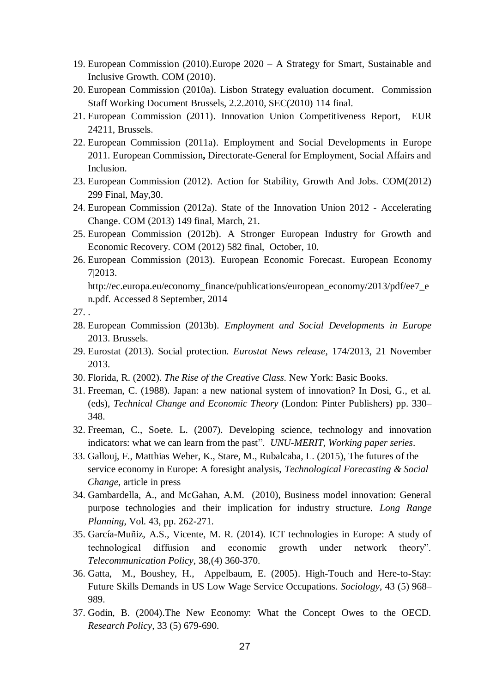- 19. European Commission (2010).Europe 2020 A Strategy for Smart, Sustainable and Inclusive Growth. COM (2010).
- 20. European Commission (2010a). Lisbon Strategy evaluation document. Commission Staff Working Document Brussels, 2.2.2010, SEC(2010) 114 final.
- 21. European Commission (2011). Innovation Union Competitiveness Report, EUR 24211, Brussels.
- 22. European Commission (2011a). Employment and Social Developments in Europe 2011. European Commission**,** Directorate-General for Employment, Social Affairs and Inclusion.
- 23. European Commission (2012). Action for Stability, Growth And Jobs. COM(2012) 299 Final, May,30.
- 24. European Commission (2012a). State of the Innovation Union 2012 Accelerating Change. COM (2013) 149 final, March, 21.
- 25. European Commission (2012b). A Stronger European Industry for Growth and Economic Recovery. COM (2012) 582 final, October, 10.
- 26. European Commission (2013). European Economic Forecast. European Economy 7|2013.

[http://ec.europa.eu/economy\\_finance/publications/european\\_economy/2013/pdf/ee7\\_e](http://ec.europa.eu/economy_finance/publications/european_economy/2013/pdf/ee7_en.pdf) [n.pdf.](http://ec.europa.eu/economy_finance/publications/european_economy/2013/pdf/ee7_en.pdf) Accessed 8 September, 2014

- 28. European Commission (2013b). *Employment and Social Developments in Europe* 2013. Brussels.
- 29. Eurostat (2013). Social protection. *Eurostat News release*, 174/2013, 21 November 2013.
- 30. Florida, R. (2002). *The Rise of the Creative Class*. New York: Basic Books.
- 31. Freeman, C. (1988). Japan: a new national system of innovation? In Dosi, G., et al. (eds), *Technical Change and Economic Theory* (London: Pinter Publishers) pp. 330– 348.
- 32. Freeman, C., Soete. L. (2007). Developing science, technology and innovation indicators: what we can learn from the past". *UNU-MERIT, Working paper series*.
- 33. Gallouj, F., Matthias Weber, K., Stare, M., Rubalcaba, L. (2015), The futures of the service economy in Europe: A foresight analysis, *Technological Forecasting & Social Change*, article in press
- 34. Gambardella, A., and McGahan, A.M. (2010), Business model innovation: General purpose technologies and their implication for industry structure. *Long Range Planning*, Vol. 43, pp. 262-271.
- 35. García-Muñiz, A.S., Vicente, M. R. (2014). ICT technologies in Europe: A study of technological diffusion and economic growth under network theory". *Telecommunication Policy*, 38,(4) 360-370.
- 36. Gatta, M., Boushey, H., Appelbaum, E. (2005). High-Touch and Here-to-Stay: Future Skills Demands in US Low Wage Service Occupations. *Sociology*, 43 (5) 968– 989.
- 37. Godin, B. (2004).The New Economy: What the Concept Owes to the OECD. *Research Policy,* 33 (5) 679-690.

<sup>27.</sup> .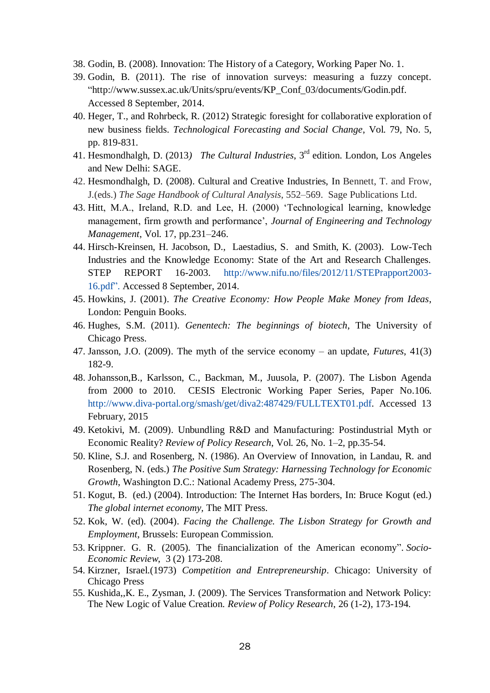- 38. Godin, B. (2008). Innovation: The History of a Category, Working Paper No. 1.
- 39. Godin, B. (2011). The rise of innovation surveys: measuring a fuzzy concept*.* ["http://www.sussex.ac.uk/Units/spru/events/KP\\_Conf\\_03/documents/Godin.pdf.](http://www.sussex.ac.uk/Units/spru/events/KP_Conf_03/documents/Godin.pdf) Accessed 8 September, 2014.
- 40. Heger, T., and Rohrbeck, R. (2012) Strategic foresight for collaborative exploration of new business fields. *Technological Forecasting and Social Change*, Vol. 79, No. 5, pp. 819-831.
- 41. Hesmondhalgh, D. (2013*) The Cultural Industries*, 3 rd edition. London, Los Angeles and New Delhi: SAGE.
- 42. Hesmondhalgh, D. (2008). Cultural and Creative Industries, In Bennett, T. and Frow, J.(eds.) *The Sage Handbook of Cultural Analysis*, 552–569. Sage Publications Ltd.
- 43. Hitt, M.A., Ireland, R.D. and Lee, H. (2000) 'Technological learning, knowledge management, firm growth and performance', *Journal of Engineering and Technology Management*, Vol. 17, pp.231–246.
- 44. Hirsch-Kreinsen, H. Jacobson, D., Laestadius, S. and Smith, K. (2003). Low-Tech Industries and the Knowledge Economy: State of the Art and Research Challenges. STEP REPORT 16-2003. [http://www.nifu.no/files/2012/11/STEPrapport2003-](http://www.nifu.no/files/2012/11/STEPrapport2003-16.pdf) [16.pdf"](http://www.nifu.no/files/2012/11/STEPrapport2003-16.pdf). Accessed 8 September, 2014.
- 45. Howkins, J. (2001). *The Creative Economy: How People Make Money from Ideas*, London: Penguin Books.
- 46. Hughes, S.M. (2011). *Genentech: The beginnings of biotech*, The University of Chicago Press.
- 47. Jansson, J.O. (2009). The myth of the service economy an update, *Futures*, 41(3) 182-9.
- 48. Johansson,B., Karlsson, C., Backman, M., Juusola, P. (2007). The Lisbon Agenda from 2000 to 2010. CESIS Electronic Working Paper Series, Paper No.106. [http://www.diva-portal.org/smash/get/diva2:487429/FULLTEXT01.pdf.](http://www.diva-portal.org/smash/get/diva2:487429/FULLTEXT01.pdf) Accessed 13 February, 2015
- 49. Ketokivi, M. (2009). Unbundling R&D and Manufacturing: Postindustrial Myth or Economic Reality? *Review of Policy Research*, Vol. 26, No. 1–2, pp.35-54.
- 50. Kline, S.J. and Rosenberg, N. (1986). An Overview of Innovation, in Landau, R. and Rosenberg, N. (eds.) *The Positive Sum Strategy: Harnessing Technology for Economic Growth*, Washington D.C.: National Academy Press, 275-304.
- 51. Kogut, B. (ed.) (2004). Introduction: The Internet Has borders, In: Bruce Kogut (ed.) *The global internet economy,* The MIT Press.
- 52. Kok, W. (ed). (2004). *Facing the Challenge. The Lisbon Strategy for Growth and Employment*, Brussels: European Commission.
- 53. Krippner. G. R. (2005). [The financialization of the American economy".](http://ser.oxfordjournals.org/cgi/content/abstract/3/2/173) *Socio-Economic Review*, 3 (2) 173-208.
- 54. Kirzner, Israel.(1973) *Competition and Entrepreneurship*. Chicago: University of Chicago Press
- 55. Kushida,,K. E., Zysman, J. (2009). The Services Transformation and Network Policy: The New Logic of Value Creation. *Review of Policy Research*, 26 (1-2), 173-194.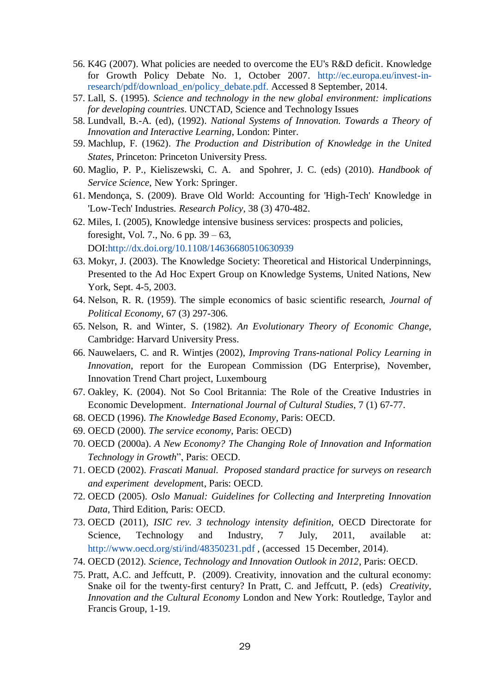- 56. K4G (2007). What policies are needed to overcome the EU's R&D deficit. Knowledge for Growth Policy Debate No. 1, October 2007. [http://ec.europa.eu/invest-in](http://ec.europa.eu/invest-in-research/pdf/download_en/policy_debate.pdf)[research/pdf/download\\_en/policy\\_debate.pdf.](http://ec.europa.eu/invest-in-research/pdf/download_en/policy_debate.pdf) Accessed 8 September, 2014.
- 57. Lall, S. (1995). *Science and technology in the new global environment: implications for developing countries*. UNCTAD, Science and Technology Issues
- 58. Lundvall, B.-A. (ed), (1992). *National Systems of Innovation. Towards a Theory of Innovation and Interactive Learning*, London: Pinter.
- 59. Machlup, F. (1962). *The Production and Distribution of Knowledge in the United States*, Princeton: Princeton University Press.
- 60. Maglio, P. P., Kieliszewski, C. A. and Spohrer, J. C. (eds) (2010). *Handbook of Service Science*, New York: Springer.
- 61. Mendonça, S. (2009). Brave Old World: Accounting for 'High-Tech' Knowledge in 'Low-Tech' Industries. *Research Policy*, 38 (3) 470-482.
- 62. Miles, I. (2005), Knowledge intensive business services: prospects and policies, foresight, Vol. 7., No. 6 pp. 39 – 63, DOI[:http://dx.doi.org/10.1108/14636680510630939](http://dx.doi.org/10.1108/14636680510630939)
- 63. Mokyr, J. (2003). The Knowledge Society: Theoretical and Historical Underpinnings, Presented to the Ad Hoc Expert Group on Knowledge Systems, United Nations, New York, Sept. 4-5, 2003.
- 64. Nelson, R. R. (1959). The simple economics of basic scientific research, *Journal of Political Economy*, 67 (3) 297-306.
- 65. Nelson, R. and Winter, S. (1982). *An Evolutionary Theory of Economic Change*, Cambridge: Harvard University Press.
- 66. Nauwelaers, C. and R. Wintjes (2002), *Improving Trans-national Policy Learning in Innovation*, report for the European Commission (DG Enterprise), November, Innovation Trend Chart project, Luxembourg
- 67. Oakley, K. (2004). Not So Cool Britannia: The Role of the Creative Industries in Economic Development. *International Journal of Cultural Studies*, 7 (1) 67-77.
- 68. OECD (1996). *The Knowledge Based Economy*, Paris: OECD.
- 69. OECD (2000). *The service economy*, Paris: OECD)
- 70. OECD (2000a). *A New Economy? The Changing Role of Innovation and Information Technology in Growth*", Paris: OECD.
- 71. OECD (2002). *Frascati Manual. Proposed standard practice for surveys on research and experiment developmen*t, Paris: OECD.
- 72. OECD (2005). *Oslo Manual: Guidelines for Collecting and Interpreting Innovation Data*, Third Edition, Paris: OECD.
- 73. OECD (2011), *ISIC rev. 3 technology intensity definition*, OECD Directorate for Science, Technology and Industry, 7 July, 2011, available at: <http://www.oecd.org/sti/ind/48350231.pdf>, (accessed 15 December, 2014).
- 74. OECD (2012). *Science, Technology and Innovation Outlook in 2012*, Paris: OECD.
- 75. Pratt, A.C. and Jeffcutt, P. (2009). Creativity, innovation and the cultural economy: Snake oil for the twenty-first century? In Pratt, C. and Jeffcutt, P. (eds) *Creativity, Innovation and the Cultural Economy* London and New York: Routledge, Taylor and Francis Group, 1-19.